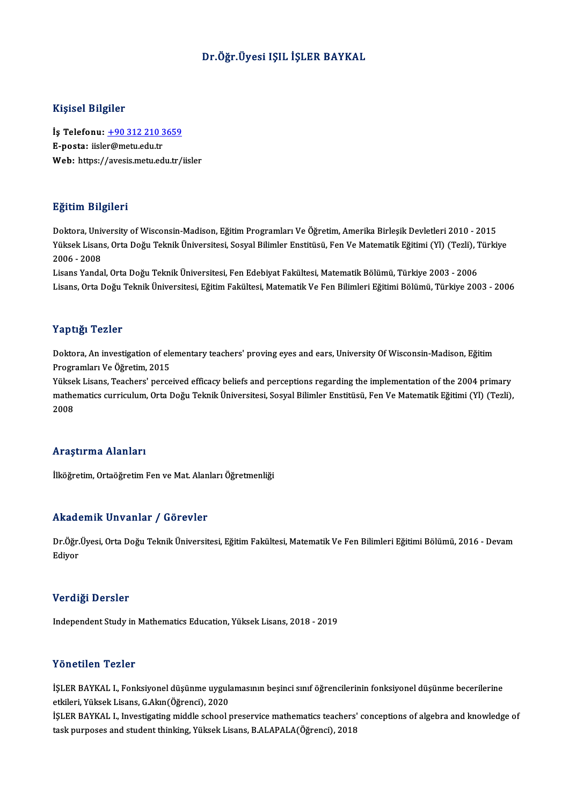### Dr.Öğr.Üyesi IŞIL İŞLER BAYKAL

#### Kişisel Bilgiler

Kişisel Bilgiler<br>İş Telefonu: <u>+90 312 210 3659</u><br>E nosta: ijska@metu.edu.tr 11191001 Dugnot<br>İş Telefonu: <u>+90 312 210 3</u><br>E-posta: iisle[r@metu.edu.tr](tel:+90 312 210 3659) E-posta: iisler@metu.edu.tr<br>Web: https://avesis.metu.edu.tr/iisler

### Eğitim Bilgileri

Doktora, University of Wisconsin-Madison, Eğitim Programları Ve Öğretim, Amerika Birleşik Devletleri 2010 - 2015 Zytemin Zargirora<br>Doktora, University of Wisconsin-Madison, Eğitim Programları Ve Öğretim, Amerika Birleşik Devletleri 2010 - 2015<br>Yüksek Lisans, Orta Doğu Teknik Üniversitesi, Sosyal Bilimler Enstitüsü, Fen Ve Matematik E Doktora, Uni<mark>v</mark><br>Yüksek Lisan<br>2006 - 2008<br>Lisans Yanda Yüksek Lisans, Orta Doğu Teknik Üniversitesi, Sosyal Bilimler Enstitüsü, Fen Ve Matematik Eğitimi (Yl) (Tezli), 1<br>2006 - 2008<br>Lisans Yandal, Orta Doğu Teknik Üniversitesi, Fen Edebiyat Fakültesi, Matematik Bölümü, Türkiye

2006 - 2008<br>Lisans Yandal, Orta Doğu Teknik Üniversitesi, Fen Edebiyat Fakültesi, Matematik Bölümü, Türkiye 2003 - 2006<br>Lisans, Orta Doğu Teknik Üniversitesi, Eğitim Fakültesi, Matematik Ve Fen Bilimleri Eğitimi Bölümü, Tü

#### Yaptığı Tezler

Yaptığı Tezler<br>Doktora, An investigation of elementary teachers' proving eyes and ears, University Of Wisconsin-Madison, Eğitim<br>Programları Ve Öğretim 2015 Programları<br>Doktora, An investigation of ele<br>Programları Ve Öğretim, 2015<br>Vülgek Lisana Teachans' navçe

Programları Ve Öğretim, 2015<br>Yüksek Lisans, Teachers' perceived efficacy beliefs and perceptions regarding the implementation of the 2004 primary Programları Ve Öğretim, 2015<br>Yüksek Lisans, Teachers' perceived efficacy beliefs and perceptions regarding the implementation of the 2004 primary<br>mathematics curriculum, Orta Doğu Teknik Üniversitesi, Sosyal Bilimler Ensti Yükse<br>mathe<br>2008

# Araştırma Alanları

İlköğretim, Ortaöğretim Fen ve Mat. Alanları Öğretmenliği

### Akademik Unvanlar / Görevler

**Akademik Unvanlar / Görevler**<br>Dr.Öğr.Üyesi, Orta Doğu Teknik Üniversitesi, Eğitim Fakültesi, Matematik Ve Fen Bilimleri Eğitimi Bölümü, 2016 - Devam rrnaa<br>Dr.Öğr<br>Ediyor

# <sup>Ediyor</sup><br>Verdiği Dersler

Independent Study in Mathematics Education, Yüksek Lisans, 2018 - 2019

#### Yönetilen Tezler

**Yönetilen Tezler**<br>İŞLER BAYKAL I., Fonksiyonel düşünme uygulamasının beşinci sınıf öğrencilerinin fonksiyonel düşünme becerilerine<br>Strilari Yülrek Lisars *C.* Alan (Öğrengi), 2020 etkileri, Yüksek<br>İŞLER BAYKAL I., Fonksiyonel düşünme uygul:<br>İSLER BAYKAL I., Investisatins middle sehçel t İŞLER BAYKAL I., Fonksiyonel düşünme uygulamasının beşinci sınıf öğrencilerinin fonksiyonel düşünme becerilerine<br>etkileri, Yüksek Lisans, G.Akın(Öğrenci), 2020<br>İŞLER BAYKAL I., Investigating middle school preservice mathem

etkileri, Yüksek Lisans, G.Akın(Öğrenci), 2020<br>İŞLER BAYKAL I., Investigating middle school preservice mathematics teachers'<br>task purposes and student thinking, Yüksek Lisans, B.ALAPALA(Öğrenci), 2018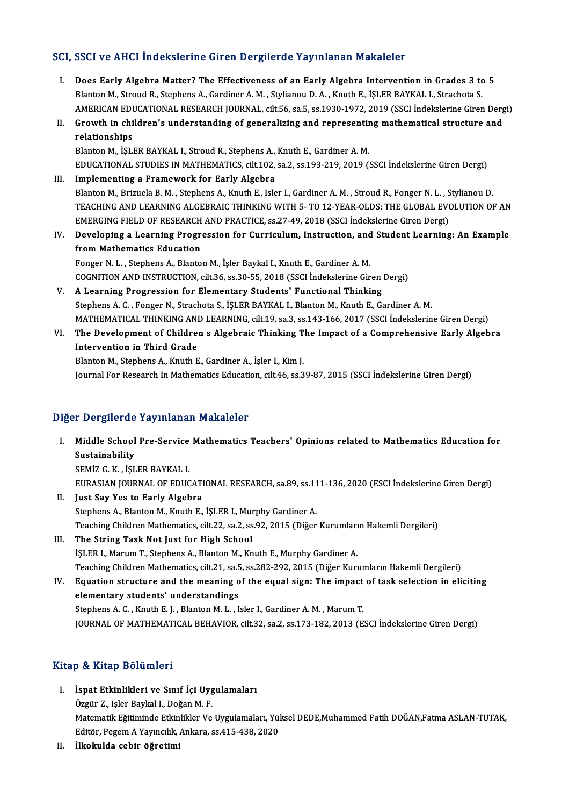## SCI, SSCI ve AHCI İndekslerine Giren Dergilerde Yayınlanan Makaleler

- I. Does Early Algebra Matter? The Effectiveness of an Early Algebra Intervention in Grades 3 to 5 Blanton M., Stroud R., Stephens A., Gardiner A. M., Stylianou D. A., Knuth E., İŞLER BAYKAL I., Strachota S. Does Early Algebra Matter? The Effectiveness of an Early Algebra Intervention in Grades 3 to 5<br>Blanton M., Stroud R., Stephens A., Gardiner A. M. , Stylianou D. A. , Knuth E., İŞLER BAYKAL I., Strachota S.<br>AMERICAN EDUCATI Blanton M., Stroud R., Stephens A., Gardiner A. M. , Stylianou D. A. , Knuth E., İŞLER BAYKAL I., Strachota S.<br>AMERICAN EDUCATIONAL RESEARCH JOURNAL, cilt.56, sa.5, ss.1930-1972, 2019 (SSCI İndekslerine Giren Derg<br>II. Grow
- AMERICAN EDU<br>Growth in chi<br>relationships<br>Planton M. <sup>iSL1</sup> II. Growth in children's understanding of generalizing and representing mathematical structure and<br>relationships<br>Blanton M., İŞLER BAYKAL I., Stroud R., Stephens A., Knuth E., Gardiner A. M.

EDUCATIONAL STUDIES INMATHEMATICS, cilt.102, sa.2, ss.193-219,2019 (SSCI İndekslerineGirenDergi)

- III. Implementing a Framework for Early Algebra EDUCATIONAL STUDIES IN MATHEMATICS, cilt.102, sa.2, ss.193-219, 2019 (SSCI İndekslerine Giren Dergi)<br>Implementing a Framework for Early Algebra<br>Blanton M., Brizuela B. M. , Stephens A., Knuth E., Isler I., Gardiner A. M. , I<mark>mplementing a Framework for Early Algebra</mark><br>Blanton M., Brizuela B. M. , Stephens A., Knuth E., Isler I., Gardiner A. M. , Stroud R., Fonger N. L. , Stylianou D.<br>TEACHING AND LEARNING ALGEBRAIC THINKING WITH 5- TO 12-YEAR Blanton M., Brizuela B. M. , Stephens A., Knuth E., Isler I., Gardiner A. M. , Stroud R., Fonger N. L. , S<br>TEACHING AND LEARNING ALGEBRAIC THINKING WITH 5- TO 12-YEAR-OLDS: THE GLOBAL EVO<br>EMERGING FIELD OF RESEARCH AND PRA TEACHING AND LEARNING ALGEBRAIC THINKING WITH 5- TO 12-YEAR-OLDS: THE GLOBAL EVOLUTION OF AN EMERGING FIELD OF RESEARCH AND PRACTICE, ss.27-49, 2018 (SSCI Indekslerine Giren Dergi)<br>IV. Developing a Learning Progression for
- EMERGING FIELD OF RESEARCH<br>Developing a Learning Progress<br>from Mathematics Education Developing a Learning Progression for Curriculum, Instruction, and<br>from Mathematics Education<br>Fonger N. L. , Stephens A., Blanton M., İşler Baykal I., Knuth E., Gardiner A. M.<br>COCNITION AND INSTRUCTION, silt 36, ss 30, 55, from Mathematics Education<br>Fonger N. L. , Stephens A., Blanton M., İşler Baykal I., Knuth E., Gardiner A. M.<br>COGNITION AND INSTRUCTION, cilt.36, ss.30-55, 2018 (SSCI İndekslerine Giren Dergi)<br>A. Learning Progression for El

- Fonger N. L. , Stephens A., Blanton M., İşler Baykal I., Knuth E., Gardiner A. M.<br>COGNITION AND INSTRUCTION, cilt.36, ss.30-55, 2018 (SSCI İndekslerine Giren Dergi)<br>V. A Learning Progression for Elementary Students' Functi COGNITION AND INSTRUCTION, cilt.36, ss.30-55, 2018 (SSCI İndekslerine Giren Dergi)<br>A Learning Progression for Elementary Students' Functional Thinking<br>Stephens A. C. , Fonger N., Strachota S., İŞLER BAYKAL I., Blanton M., A Learning Progression for Elementary Students' Functional Thinking<br>Stephens A. C. , Fonger N., Strachota S., İŞLER BAYKAL I., Blanton M., Knuth E., Gardiner A. M.<br>MATHEMATICAL THINKING AND LEARNING, cilt.19, sa.3, ss.143-
- VI. The Development of Children s Algebraic Thinking The Impact of a Comprehensive Early Algebra MATHEMATICAL THINKING ANI<br>The Development of Childre<br>Intervention in Third Grade<br>Platton M. Stanbons A. Knuth E Blanton M., Stephens A., Knuth E., Gardiner A., İşler I., Kim J.

Journal For Research In Mathematics Education, cilt.46, ss.39-87, 2015 (SSCI İndekslerine Giren Dergi)

## Diğer Dergilerde Yayınlanan Makaleler

iğer Dergilerde Yayınlanan Makaleler<br>I. Middle School Pre-Service Mathematics Teachers' Opinions related to Mathematics Education for<br>Sustainability n Bergherae<br>Middle School<br>Sustainability<br>SEMiZ G K Rist Middle School Pre-Service<br>Sustainability<br>SEMİZ G. K. , İŞLER BAYKAL I.<br>FURASIAN JOURNAL OF FDUC

Sustainability<br>SEMİZ G. K. , İŞLER BAYKAL I.<br>EURASIAN JOURNAL OF EDUCATIONAL RESEARCH, sa.89, ss.111-136, 2020 (ESCI İndekslerine Giren Dergi)

- II Just Say Yes to Early Algebra Stephens A., Blanton M., Knuth E., İŞLER I., Murphy Gardiner A. Just Say Yes to Early Algebra<br>Stephens A., Blanton M., Knuth E., İŞLER I., Murphy Gardiner A.<br>Teaching Children Mathematics, cilt.22, sa.2, ss.92, 2015 (Diğer Kurumların Hakemli Dergileri)<br>The String Task Not Just for High
- III. The String Task Not Just for High School<br>
ISLER I., Marum T., Stephens A., Blanton M., Knuth E., Murphy Gardiner A. Teaching Children Mathematics, cilt.22, sa.2, ss.92, 2015 (Diğer Kurumları<br>The String Task Not Just for High School<br>İŞLER I., Marum T., Stephens A., Blanton M., Knuth E., Murphy Gardiner A.<br>Teaching Children Mathematics, s The String Task Not Just for High School<br>İŞLER I., Marum T., Stephens A., Blanton M., Knuth E., Murphy Gardiner A.<br>Teaching Children Mathematics, cilt.21, sa.5, ss.282-292, 2015 (Diğer Kurumların Hakemli Dergileri)<br>Faustio ISLER I., Marum T., Stephens A., Blanton M., Knuth E., Murphy Gardiner A.<br>Teaching Children Mathematics, cilt.21, sa.5, ss.282-292, 2015 (Diğer Kurumların Hakemli Dergileri)<br>IV. Equation structure and the meaning of the eq

Teaching Children Mathematics, cilt.21, sa.5<br>Equation structure and the meaning of<br>elementary students' understandings<br>Stephens A.C., Knuth E.L., Planton M.L., L Equation structure and the meaning of the equal sign: The impact<br>elementary students' understandings<br>Stephens A. C. , Knuth E. J. , Blanton M. L. , Isler I., Gardiner A. M. , Marum T.<br>JOUDMAL OF MATHEMATICAL REHAVIOR si<sup>1</sup> elementary students' understandings<br>Stephens A. C. , Knuth E. J. , Blanton M. L. , Isler I., Gardiner A. M. , Marum T.<br>JOURNAL OF MATHEMATICAL BEHAVIOR, cilt.32, sa.2, ss.173-182, 2013 (ESCI İndekslerine Giren Dergi)

## Kitap & Kitap Bölümleri

- Itap & Kitap Bölümleri<br>I. İspat Etkinlikleri ve Sınıf İçi Uygulamaları<br>Özgün Z. Jeler Baykal I. Doğan M. E ölü İsrael Dorumoru<br>İspat Etkinlikleri ve Sınıf İçi Uyg<br>Özgür Z., Işler Baykal I., Doğan M. F.<br>Matamatik Eğitiminde Etkinlikler Ve İspat Etkinlikleri ve Sınıf İçi Uygulamaları<br>Özgür Z., Işler Baykal I., Doğan M. F.<br>Matematik Eğitiminde Etkinlikler Ve Uygulamaları, Yüksel DEDE,Muhammed Fatih DOĞAN,Fatma ASLAN-TUTAK,<br>Editör Bosom A Yaungılık Ankara *se* Özgür Z., Işler Baykal I., Doğan M. F.<br>Matematik Eğitiminde Etkinlikler Ve Uygulamaları, Yül<br>Editör, Pegem A Yayıncılık, Ankara, ss.415-438, 2020<br>İlkolmlda sehir öğretimi Editör, Pegem A Yayıncılık, Ankara, ss.415-438, 2020<br>II. İlkokulda cebir öğretimi
-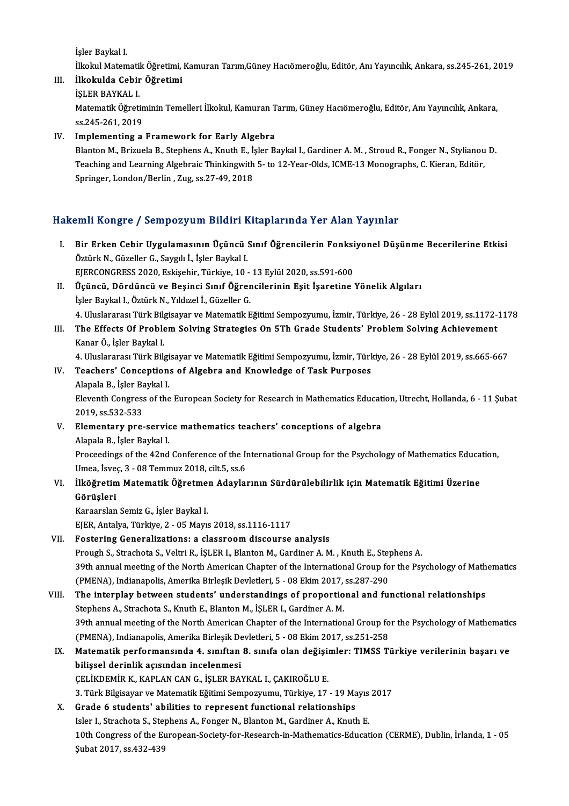İşler Baykal I.

İlkokul Matematik Öğretimi, Kamuran Tarım,Güney Hacıömeroğlu, Editör, Anı Yayıncılık, Ankara, ss.245-261, 2019 İşler Baykal I.<br>İlkokul Matematik Öğretimi,<br>III. İlkokulda Cebir Öğretimi

## İlkokul Matematil<br>İl<mark>kokulda Cebir</mark><br>İŞLER BAYKAL I.<br>Matematil: Öğneti

İlkokulda Cebir Öğretimi<br>İŞLER BAYKAL I.<br>Matematik Öğretiminin Temelleri İlkokul, Kamuran Tarım, Güney Hacıömeroğlu, Editör, Anı Yayıncılık, Ankara, İŞLER BAYKAL I.<br>Matematik Öğretin<br>ss.245-261, 2019<br>Implementing a

## ss.245-261, 2019<br>IV. Implementing a Framework for Early Algebra

Blanton M., Brizuela B., Stephens A., Knuth E., İşler Baykal I., Gardiner A.M., Stroud R., Fonger N., Stylianou D. I<mark>mplementing a Framework for Early Algebra</mark><br>Blanton M., Brizuela B., Stephens A., Knuth E., İşler Baykal I., Gardiner A. M. , Stroud R., Fonger N., Stylianou<br>Teaching and Learning Algebraic Thinkingwith 5- to 12-Year-Olds Blanton M., Brizuela B., Stephens A., Knuth E., İ.;<br>Teaching and Learning Algebraic Thinkingwith<br>Springer, London/Berlin , Zug, ss.27-49, 2018

# Springer, London/Berlin , Zug, ss.27-49, 2018<br>Hakemli Kongre / Sempozyum Bildiri Kitaplarında Yer Alan Yayınlar

- akemli Kongre / Sempozyum Bildiri Kitaplarında Yer Alan Yayınlar<br>I. Bir Erken Cebir Uygulamasının Üçüncü Sınıf Öğrencilerin Fonksiyonel Düşünme Becerilerine Etkisi<br>Östürk N. Cüzeller C. Sevah İ. İslam Baykal I. Öztürk Köngre 7 Sempozyum Brunka I.<br>Bir Erken Cebir Uygulamasının Üçüncü<br>Öztürk N., Güzeller G., Saygılı İ., İşler Baykal I. Bir Erken Cebir Uygulamasının Üçüncü Sınıf Öğrencilerin Fonksi<br>Öztürk N., Güzeller G., Saygılı İ., İşler Baykal I.<br>EJERCONGRESS 2020, Eskişehir, Türkiye, 10 - 13 Eylül 2020, ss.591-600<br>Üçüncü, Döndüncü ve Besinsi Sınıf Öğr
- Öztürk N., Güzeller G., Saygılı İ., İşler Baykal I.<br>EJERCONGRESS 2020, Eskişehir, Türkiye, 10 13 Eylül 2020, ss.591-600<br>II. Üçüncü, Dördüncü ve Beşinci Sınıf Öğrencilerinin Eşit İşaretine Yönelik Algıları<br>İsler Baykal I. EJERCONGRESS 2020, Eskişehir, Türkiye, 10 -<br>Üçüncü, Dördüncü ve Beşinci Sınıf Öğrer<br>İşler Baykal I., Öztürk N., Yıldızel İ., Güzeller G.<br>4. Uluslaranesi Türk Bilgiseyar ve Matematik E Üçüncü, Dördüncü ve Beşinci Sınıf Öğrencilerinin Eşit İşaretine Yönelik Algıları<br>İşler Baykal I., Öztürk N., Yıldızel İ., Güzeller G.<br>4. Uluslararası Türk Bilgisayar ve Matematik Eğitimi Sempozyumu, İzmir, Türkiye, 26 - 28 İşler Baykal I., Öztürk N., Yıldızel İ., Güzeller G.<br>1. Uluslararası Türk Bilgisayar ve Matematik Eğitimi Sempozyumu, İzmir, Türkiye, 26 - 28 Eylül 2019, ss.1172-<br>1. The Effects Of Problem Solving Strategies On 5Th Grade S
- 4. Uluslararası Türk Bilg<br>The Effects Of Proble<br>Kanar Ö., İşler Baykal I.<br>4. Illuslararası Türk Bilg The Effects Of Problem Solving Strategies On 5Th Grade Students' Problem Solving Achievement<br>Kanar Ö., İşler Baykal I.<br>4. Uluslararası Türk Bilgisayar ve Matematik Eğitimi Sempozyumu, İzmir, Türkiye, 26 - 28 Eylül 2019, ss

- Kanar Ö., İşler Baykal I.<br>4. Uluslararası Türk Bilgisayar ve Matematik Eğitimi Sempozyumu, İzmir, Türk<br>IV. Teachers' Conceptions of Algebra and Knowledge of Task Purposes<br>Alanala B. İslam Paykal I. 4. Uluslararası Türk Bilgi<br>Teachers' Conception:<br>Alapala B., İşler Baykal I.<br>Eleventh Congress of the Eleventh Congress of the European Society for Research in Mathematics Education, Utrecht, Hollanda, 6 - 11 Şubat<br>2019, ss.532-533 Alapala B., İşler Baykal I. Eleventh Congress of the European Society for Research in Mathematics Educat<br>2019, ss.532-533<br>V. Elementary pre-service mathematics teachers' conceptions of algebra<br>Alapala B. İslam Baykal I.
- 2019, ss.532-533<br>**Elementary pre-servic<br>Alapala B., İşler Baykal I.**<br>Pressedings of the 42nd Elementary pre-service mathematics teachers' conceptions of algebra<br>Alapala B., İşler Baykal I.<br>Proceedings of the 42nd Conference of the International Group for the Psychology of Mathematics Education,<br>Umes İsves 3 - 09 T Alapala B., İşler Baykal I.<br>Proceedings of the 42nd Conference of the II<br>Umea, İsveç, 3 - 08 Temmuz 2018, cilt.5, ss.6<br>İlköğnetim Matematik Öğnetmen Adevlat

## Proceedings of the 42nd Conference of the International Group for the Psychology of Mathematics Educa<br>Umea, İsveç, 3 - 08 Temmuz 2018, cilt.5, ss.6<br>VI. İlköğretim Matematik Öğretmen Adaylarının Sürdürülebilirlik için Matem Umea, İsveç, 3 - 08 Temmuz 2018, cilt.5, ss.6<br>VI. İlköğretim Matematik Öğretmen Adaylarının Sürdürülebilirlik için Matematik Eğitimi Üzerine<br>Görüşleri

Karaarslan Semiz G., İşler Baykal I. EJER,Antalya,Türkiye,2 -05Mayıs2018, ss.1116-1117

## VII. Fostering Generalizations: a classroom discourse analysis

Prough S., Strachota S., Veltri R., İŞLER I., Blanton M., Gardiner A.M., Knuth E., Stephens A. 39th annual meeting of the North American Chapter of the International Group for the Psychology of Mathematics Prough S., Strachota S., Veltri R., İŞLER I., Blanton M., Gardiner A. M. , Knuth E., Step<br>39th annual meeting of the North American Chapter of the International Group fo<br>(PMENA), Indianapolis, Amerika Birleşik Devletleri,

## VIII. The interplay between students' understandings of proportional and functional relationships<br>Stephens A., Strachota S., Knuth E., Blanton M., ISLER I., Gardiner A. M. (PMENA), Indianapolis, Amerika Birleşik Devletleri, 5 - 08 Ekim 2017,<br>The interplay between students' understandings of proportio<br>Stephens A., Strachota S., Knuth E., Blanton M., İŞLER I., Gardiner A. M.<br>20th annual meetin The interplay between students' understandings of proportional and functional relationships<br>Stephens A., Strachota S., Knuth E., Blanton M., İŞLER I., Gardiner A. M.<br>39th annual meeting of the North American Chapter of the Stephens A., Strachota S., Knuth E., Blanton M., İŞLER I., Gardiner A. M.<br>39th annual meeting of the North American Chapter of the International Group fo<br>(PMENA), Indianapolis, Amerika Birleşik Devletleri, 5 - 08 Ekim 2017 39th annual meeting of the North American Chapter of the International Group for the Psychology of Mathematic<br>(PMENA), Indianapolis, Amerika Birleşik Devletleri, 5 - 08 Ekim 2017, ss.251-258<br>IX. Matematik performansında 4.

## (PMENA), Indianapolis, Amerika Birleşik De<br>Matematik performansında 4. sınıftan<br>bilişsel derinlik açısından incelenmesi<br>CELİKDEMİR K. KARLAN CAN C. İSLER BAY Matematik performansında 4. sınıftan 8. sınıfa olan değişi:<br>bilişsel derinlik açısından incelenmesi<br>ÇELİKDEMİR K., KAPLAN CAN G., İŞLER BAYKAL I., ÇAKIROĞLU E.<br>2. Türk Bilgiseyer ve Metemetik Eğitimi Semnegrumu, Türkiye 17 bilişsel derinlik açısından incelenmesi<br>ÇELİKDEMİR K., KAPLAN CAN G., İŞLER BAYKAL I., ÇAKIROĞLU E.<br>3. Türk Bilgisayar ve Matematik Eğitimi Sempozyumu, Türkiye, 17 - 19 Mayıs 2017

## X. Grade 6 students' abilities to represent functional relationships 3. Türk Bilgisayar ve Matematik Eğitimi Sempozyumu, Türkiye, 17 - 19 Mayıs<br>Grade 6 students' abilities to represent functional relationships<br>Isler I., Strachota S., Stephens A., Fonger N., Blanton M., Gardiner A., Knuth E. 10th Congress of the European-Society-for-Research-in-Mathematics-Education (CERME), Dublin, İrlanda, 1 - 05<br>Şubat 2017, ss.432-439 Isler I., Strachota S., Ste<sub>l</sub><br>10th Congress of the Eu<br>Şubat 2017, ss.432-439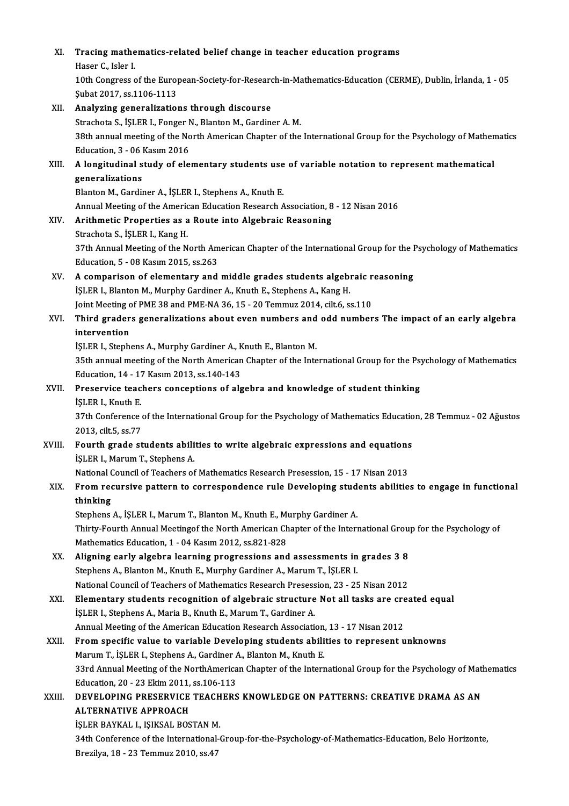## XI. Tracing mathematics-related belief change in teacher education programs<br>Heeer C. Jolen J Tracing mathe<br>Haser C., Isler I.<br>10th Congress c

Haser C., Isler I.<br>10th Congress of the European-Society-for-Research-in-Mathematics-Education (CERME), Dublin, İrlanda, 1 - 05 Şubat2017, ss.1106-1113

XII. Analyzing generalizations through discourse Strachota S., İŞLER I., Fonger N., Blanton M., Gardiner A.M. Analyzing generalizations through discourse<br>Strachota S., İŞLER I., Fonger N., Blanton M., Gardiner A. M.<br>38th annual meeting of the North American Chapter of the International Group for the Psychology of Mathematics<br>Educa Strachota S., İŞLER I., Fonger M<br>38th annual meeting of the No<br>Education, 3 - 06 Kasım 2016<br>A longitudinal study of ala 38th annual meeting of the North American Chapter of the International Group for the Psychology of Mathem<br>Education, 3 - 06 Kasım 2016<br>XIII. A longitudinal study of elementary students use of variable notation to represent Education, 3 - 06 |<br>A longitudinal s<br>generalizations<br><sup>Planton M. Cordi</sup> A longitudinal study of elementary students use<br>generalizations<br>Blanton M., Gardiner A., İŞLER I., Stephens A., Knuth E.<br>Annual Meeting of the American Education Bessersh A generalizations<br>Blanton M., Gardiner A., İŞLER I., Stephens A., Knuth E.<br>Annual Meeting of the American Education Research Association, 8 - 12 Nisan 2016 XIV. Arithmetic Properties as a Route into Algebraic Reasoning Strachota S., İŞLER I., Kang H. Arithmetic Properties as a Route into Algebraic Reasoning<br>Strachota S., İŞLER I., Kang H.<br>37th Annual Meeting of the North American Chapter of the International Group for the Psychology of Mathematics<br>Education 5, .08 Kesu Strachota S., İŞLER I., Kang H.<br>37th Annual Meeting of the North Am<br>Education, 5 - 08 Kasım 2015, ss.263<br>A componioon of olementeru and 37th Annual Meeting of the North American Chapter of the International Group for the I<br>Education, 5 - 08 Kasım 2015, ss.263<br>XV. A comparison of elementary and middle grades students algebraic reasoning<br>is ED L Planton M. M Education, 5 - 08 Kasım 2015, ss.263<br>A comparison of elementary and middle grades students algebrary<br>İŞLER I., Blanton M., Murphy Gardiner A., Knuth E., Stephens A., Kang H.<br>Jaint Mesting of PME 28 and PME NA 26, 15 - 20 T A comparison of elementary and middle grades students algebraic r<br>İŞLER I., Blanton M., Murphy Gardiner A., Knuth E., Stephens A., Kang H.<br>Joint Meeting of PME 38 and PME-NA 36, 15 - 20 Temmuz 2014, cilt.6, ss.110<br>Third gr İŞLER I., Blanton M., Murphy Gardiner A., Knuth E., Stephens A., Kang H.<br>Joint Meeting of PME 38 and PME-NA 36, 15 - 20 Temmuz 2014, cilt.6, ss.110<br>XVI. Third graders generalizations about even numbers and odd numbers **Joint Meeting c**<br>**Third grader<br>intervention**<br>ist EP L Stoph Third graders generalizations about even numbers and<br>intervention<br>İŞLER I., Stephens A., Murphy Gardiner A., Knuth E., Blanton M.<br>25th annual meeting of the North American Chapter of the Inte intervention<br>İŞLER I., Stephens A., Murphy Gardiner A., Knuth E., Blanton M.<br>35th annual meeting of the North American Chapter of the International Group for the Psychology of Mathematics<br>Education 14, 17 Kasım 2013, ss.14 ISLER I., Stephens A., Murphy Gardiner A., K<br>35th annual meeting of the North American<br>Education, 14 - 17 Kasım 2013, ss.140-143<br>Preservise teachers sensentions of als XVII. Preservice teachers conceptions of algebra and knowledge of student thinking is LER I., Knuth E. Education, 14 - 17 Kasım 2013, ss 140-143 Preservice teachers conceptions of algebra and knowledge of student thinking<br>İŞLER I., Knuth E.<br>37th Conference of the International Group for the Psychology of Mathematics Education, 28 Temmuz - 02 Ağustos<br>2013. silt 5, 9 iSLER I., Knuth E.<br>37th Conference<br>2013, cilt.5, ss.77<br>Eourth grade at 37th Conference of the International Group for the Psychology of Mathematics Educatio<br>2013, cilt.5, ss.77<br>XVIII. Fourth grade students abilities to write algebraic expressions and equations<br><sup>isl EB L</sup> Marum T. Staphens A 2013, cilt.5, ss.77<br>**Fourth grade students abili**<br>İŞLER I., Marum T., Stephens A.<br>National Council of Teachers of Fourth grade students abilities to write algebraic expressions and equations<br>ISLER I., Marum T., Stephens A.<br>National Council of Teachers of Mathematics Research Presession, 15 - 17 Nisan 2013<br>From nequisive pattern to con İŞLER I., Marum T., Stephens A.<br>National Council of Teachers of Mathematics Research Presession, 15 - 17 Nisan 2013<br>XIX. From recursive pattern to correspondence rule Developing students abilities to engage in function National<br>From red<br>thinking<br>Stanbang From recursive pattern to correspondence rule Developing stud<br>thinking<br>Stephens A., İŞLER I., Marum T., Blanton M., Knuth E., Murphy Gardiner A.<br>Thirty Fourth Annual Meetings the Nerth American Chanter of the Intern thinking<br>Stephens A., İŞLER I., Marum T., Blanton M., Knuth E., Murphy Gardiner A.<br>Thirty-Fourth Annual Meetingof the North American Chapter of the International Group for the Psychology of<br>Mathematics Education 1 - 04 Kes Stephens A., İŞLER I., Marum T., Blanton M., Knuth E., M.<br>Thirty-Fourth Annual Meetingof the North American Ch<br>Mathematics Education, 1 - 04 Kasım 2012, ss.821-828<br>Alisning early alsohra learning progressions and Thirty-Fourth Annual Meetingof the North American Chapter of the International Groum<br>Mathematics Education, 1 - 04 Kasım 2012, ss.821-828<br>XX. Aligning early algebra learning progressions and assessments in grades 3 8<br>Staph Mathematics Education, 1 - 04 Kasım 2012, ss.821-828<br>Aligning early algebra learning progressions and assessments in<br>Stephens A., Blanton M., Knuth E., Murphy Gardiner A., Marum T., İŞLER I.<br>National Council of Teachers of Aligning early algebra learning progressions and assessments in grades 3 8<br>Stephens A., Blanton M., Knuth E., Murphy Gardiner A., Marum T., İŞLER I.<br>National Council of Teachers of Mathematics Research Presession, 23 - 25 Stephens A., Blanton M., Knuth E., Murphy Gardiner A., Marum T., İŞLER I.<br>National Council of Teachers of Mathematics Research Presession, 23 - 25 Nisan 2012<br>XXI. Elementary students recognition of algebraic structure Not National Council of Teachers of Mathematics Research Presess<br>Elementary students recognition of algebraic structure<br>İŞLER I., Stephens A., Maria B., Knuth E., Marum T., Gardiner A.<br>Annual Meeting of the American Education Elementary students recognition of algebraic structure Not all tasks are cre<br>ISLER I., Stephens A., Maria B., Knuth E., Marum T., Gardiner A.<br>Annual Meeting of the American Education Research Association, 13 - 17 Nisan 201 i\$LER I., Stephens A., Maria B., Knuth E., Marum T., Gardiner A.<br>Annual Meeting of the American Education Research Association, 13 - 17 Nisan 2012<br>XXII. From specific value to variable Developing students abilities to repr Annual Meeting of the American Education Research Association, 13 - 17 Nisan 2012 33rd Annual Meeting of the NorthAmerican Chapter of the International Group for the Psychology of Mathematics<br>Education, 20 - 23 Ekim 2011, ss.106-113 Marum T., İSLER I., Stephens A., Gardiner A., Blanton M., Knuth E. 33rd Annual Meeting of the NorthAmerican Chapter of the International Group for the Psychology of Mathematic Education, 20 - 23 Ekim 2011, ss.106-113<br>XXIII. DEVELOPING PRESERVICE TEACHERS KNOWLEDGE ON PATTERNS: CREATIVE DR Education, 20 - 23 Ekim 2011,<br>DEVELOPING PRESERVICE<br>ALTERNATIVE APPROACH<br>ISLED PAVKALL ISIKSAL POS DEVELOPING PRESERVICE TEACH<br>ALTERNATIVE APPROACH<br>İŞLER BAYKAL I., IŞIKSAL BOSTAN M.<br>24th Conference of the International 4 ALTERNATIVE APPROACH<br>İŞLER BAYKAL I., IŞIKSAL BOSTAN M.<br>34th Conference of the International-Group-for-the-Psychology-of-Mathematics-Education, Belo Horizonte,<br>Presilva 18, 23 Temmuz 2010, 88.47 İŞLER BAYKAL I., IŞIKSAL BOSTAN M<br>34th Conference of the International-<br>Brezilya, 18 - 23 Temmuz 2010, ss.47